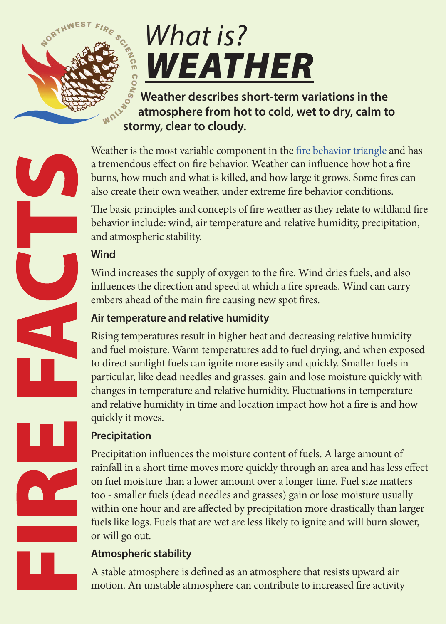

# *What is? WEATHER*

**Weather describes short-term variations in the atmosphere from hot to cold, wet to dry, calm to stormy, clear to cloudy.** 

Weather is the most variable component in the [fire behavior triangle](http://www.nwfirescience.org/biblio/nwfsc-fire-facts-what-fire-behavior) and has a tremendous effect on fire behavior. Weather can influence how hot a fire burns, how much and what is killed, and how large it grows. Some fires can also create their own weather, under extreme fire behavior conditions.

The basic principles and concepts of fire weather as they relate to wildland fire behavior include: wind, air temperature and relative humidity, precipitation, and atmospheric stability.

## **Wind**

Wind increases the supply of oxygen to the fire. Wind dries fuels, and also influences the direction and speed at which a fire spreads. Wind can carry embers ahead of the main fire causing new spot fires.

## **Air temperature and relative humidity**

Rising temperatures result in higher heat and decreasing relative humidity and fuel moisture. Warm temperatures add to fuel drying, and when exposed to direct sunlight fuels can ignite more easily and quickly. Smaller fuels in particular, like dead needles and grasses, gain and lose moisture quickly with changes in temperature and relative humidity. Fluctuations in temperature and relative humidity in time and location impact how hot a fire is and how quickly it moves.

# **Precipitation**

Precipitation influences the moisture content of fuels. A large amount of rainfall in a short time moves more quickly through an area and has less effect on fuel moisture than a lower amount over a longer time. Fuel size matters too - smaller fuels (dead needles and grasses) gain or lose moisture usually within one hour and are affected by precipitation more drastically than larger fuels like logs. Fuels that are wet are less likely to ignite and will burn slower, or will go out.

# **Atmospheric stability**

A stable atmosphere is defined as an atmosphere that resists upward air motion. An unstable atmosphere can contribute to increased fire activity